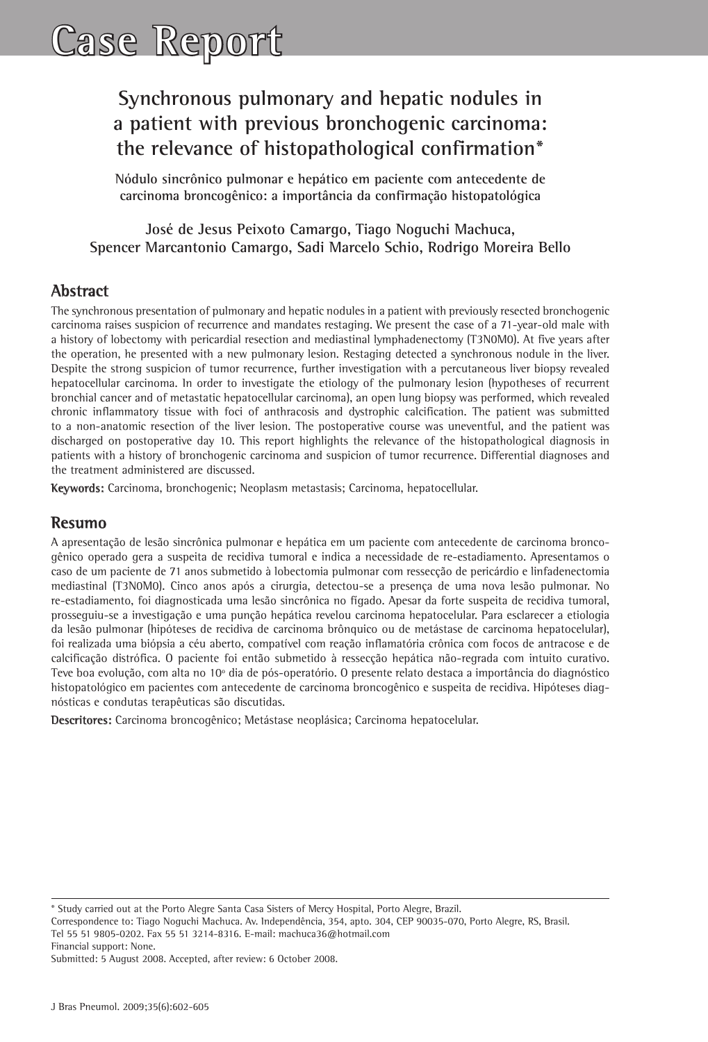# **Case Report**

## **Synchronous pulmonary and hepatic nodules in a patient with previous bronchogenic carcinoma: the relevance of histopathological confirmation\***

**Nódulo sincrônico pulmonar e hepático em paciente com antecedente de carcinoma broncogênico: a importância da confirmação histopatológica**

**José de Jesus Peixoto Camargo, Tiago Noguchi Machuca, Spencer Marcantonio Camargo, Sadi Marcelo Schio, Rodrigo Moreira Bello**

## **Abstract**

The synchronous presentation of pulmonary and hepatic nodules in a patient with previously resected bronchogenic carcinoma raises suspicion of recurrence and mandates restaging. We present the case of a 71-year-old male with a history of lobectomy with pericardial resection and mediastinal lymphadenectomy (T3N0M0). At five years after the operation, he presented with a new pulmonary lesion. Restaging detected a synchronous nodule in the liver. Despite the strong suspicion of tumor recurrence, further investigation with a percutaneous liver biopsy revealed hepatocellular carcinoma. In order to investigate the etiology of the pulmonary lesion (hypotheses of recurrent bronchial cancer and of metastatic hepatocellular carcinoma), an open lung biopsy was performed, which revealed chronic inflammatory tissue with foci of anthracosis and dystrophic calcification. The patient was submitted to a non-anatomic resection of the liver lesion. The postoperative course was uneventful, and the patient was discharged on postoperative day 10. This report highlights the relevance of the histopathological diagnosis in patients with a history of bronchogenic carcinoma and suspicion of tumor recurrence. Differential diagnoses and the treatment administered are discussed.

**Keywords:** Carcinoma, bronchogenic; Neoplasm metastasis; Carcinoma, hepatocellular.

## **Resumo**

A apresentação de lesão sincrônica pulmonar e hepática em um paciente com antecedente de carcinoma broncogênico operado gera a suspeita de recidiva tumoral e indica a necessidade de re-estadiamento. Apresentamos o caso de um paciente de 71 anos submetido à lobectomia pulmonar com ressecção de pericárdio e linfadenectomia mediastinal (T3N0M0). Cinco anos após a cirurgia, detectou-se a presença de uma nova lesão pulmonar. No re-estadiamento, foi diagnosticada uma lesão sincrônica no fígado. Apesar da forte suspeita de recidiva tumoral, prosseguiu-se a investigação e uma punção hepática revelou carcinoma hepatocelular. Para esclarecer a etiologia da lesão pulmonar (hipóteses de recidiva de carcinoma brônquico ou de metástase de carcinoma hepatocelular), foi realizada uma biópsia a céu aberto, compatível com reação inflamatória crônica com focos de antracose e de calcificação distrófica. O paciente foi então submetido à ressecção hepática não-regrada com intuito curativo. Teve boa evolução, com alta no 10º dia de pós-operatório. O presente relato destaca a importância do diagnóstico histopatológico em pacientes com antecedente de carcinoma broncogênico e suspeita de recidiva. Hipóteses diagnósticas e condutas terapêuticas são discutidas.

**Descritores:** Carcinoma broncogênico; Metástase neoplásica; Carcinoma hepatocelular.

Tel 55 51 9805-0202. Fax 55 51 3214-8316. E-mail: machuca36@hotmail.com

Financial support: None.

<sup>\*</sup> Study carried out at the Porto Alegre Santa Casa Sisters of Mercy Hospital, Porto Alegre, Brazil.

Correspondence to: Tiago Noguchi Machuca. Av. Independência, 354, apto. 304, CEP 90035-070, Porto Alegre, RS, Brasil.

Submitted: 5 August 2008. Accepted, after review: 6 October 2008.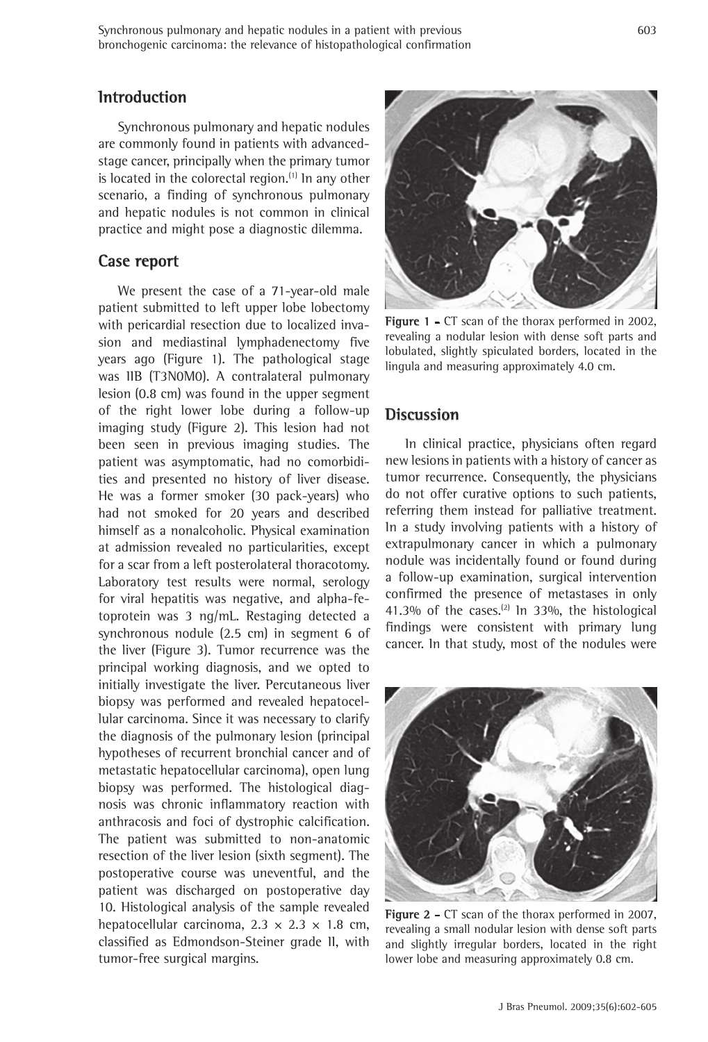## **Introduction**

Synchronous pulmonary and hepatic nodules are commonly found in patients with advancedstage cancer, principally when the primary tumor is located in the colorectal region. $(1)$  In any other scenario, a finding of synchronous pulmonary and hepatic nodules is not common in clinical practice and might pose a diagnostic dilemma.

#### **Case report**

We present the case of a 71-year-old male patient submitted to left upper lobe lobectomy with pericardial resection due to localized invasion and mediastinal lymphadenectomy five years ago (Figure 1). The pathological stage was IIB (T3N0M0). A contralateral pulmonary lesion (0.8 cm) was found in the upper segment of the right lower lobe during a follow-up imaging study (Figure 2). This lesion had not been seen in previous imaging studies. The patient was asymptomatic, had no comorbidities and presented no history of liver disease. He was a former smoker (30 pack-years) who had not smoked for 20 years and described himself as a nonalcoholic. Physical examination at admission revealed no particularities, except for a scar from a left posterolateral thoracotomy. Laboratory test results were normal, serology for viral hepatitis was negative, and alpha-fetoprotein was 3 ng/mL. Restaging detected a synchronous nodule (2.5 cm) in segment 6 of the liver (Figure 3). Tumor recurrence was the principal working diagnosis, and we opted to initially investigate the liver. Percutaneous liver biopsy was performed and revealed hepatocellular carcinoma. Since it was necessary to clarify the diagnosis of the pulmonary lesion (principal hypotheses of recurrent bronchial cancer and of metastatic hepatocellular carcinoma), open lung biopsy was performed. The histological diagnosis was chronic inflammatory reaction with anthracosis and foci of dystrophic calcification. The patient was submitted to non-anatomic resection of the liver lesion (sixth segment). The postoperative course was uneventful, and the patient was discharged on postoperative day 10. Histological analysis of the sample revealed hepatocellular carcinoma,  $2.3 \times 2.3 \times 1.8$  cm, classified as Edmondson-Steiner grade II, with tumor-free surgical margins.



Figure 1 - CT scan of the thorax performed in 2002, revealing a nodular lesion with dense soft parts and lobulated, slightly spiculated borders, located in the lingula and measuring approximately 4.0 cm.

#### **Discussion**

In clinical practice, physicians often regard new lesions in patients with a history of cancer as tumor recurrence. Consequently, the physicians do not offer curative options to such patients, referring them instead for palliative treatment. In a study involving patients with a history of extrapulmonary cancer in which a pulmonary nodule was incidentally found or found during a follow-up examination, surgical intervention confirmed the presence of metastases in only 41.3% of the cases.<sup>(2)</sup> In 33%, the histological findings were consistent with primary lung cancer. In that study, most of the nodules were



**Figure 2 -** CT scan of the thorax performed in 2007, revealing a small nodular lesion with dense soft parts and slightly irregular borders, located in the right lower lobe and measuring approximately 0.8 cm.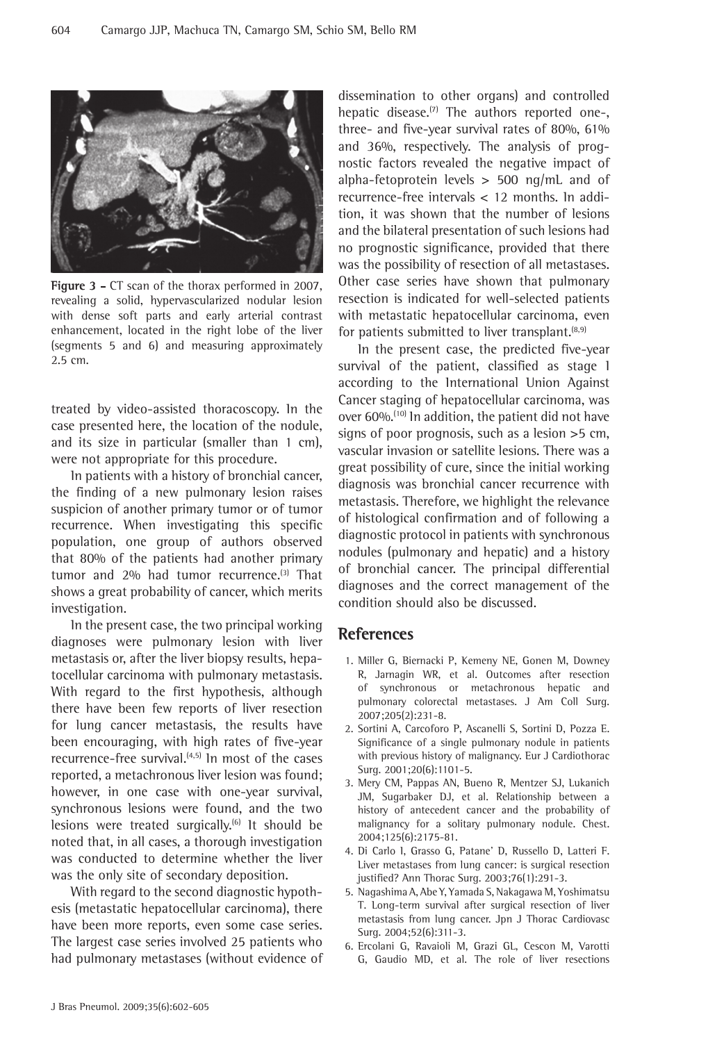

**Figure 3 -** CT scan of the thorax performed in 2007, revealing a solid, hypervascularized nodular lesion with dense soft parts and early arterial contrast enhancement, located in the right lobe of the liver (segments 5 and 6) and measuring approximately 2.5 cm.

treated by video-assisted thoracoscopy. In the case presented here, the location of the nodule, and its size in particular (smaller than 1 cm), were not appropriate for this procedure.

In patients with a history of bronchial cancer, the finding of a new pulmonary lesion raises suspicion of another primary tumor or of tumor recurrence. When investigating this specific population, one group of authors observed that 80% of the patients had another primary tumor and 2% had tumor recurrence.<sup>(3)</sup> That shows a great probability of cancer, which merits investigation.

In the present case, the two principal working diagnoses were pulmonary lesion with liver metastasis or, after the liver biopsy results, hepatocellular carcinoma with pulmonary metastasis. With regard to the first hypothesis, although there have been few reports of liver resection for lung cancer metastasis, the results have been encouraging, with high rates of five-year recurrence-free survival. $(4,5)$  In most of the cases reported, a metachronous liver lesion was found; however, in one case with one-year survival, synchronous lesions were found, and the two lesions were treated surgically.<sup>(6)</sup> It should be noted that, in all cases, a thorough investigation was conducted to determine whether the liver was the only site of secondary deposition.

With regard to the second diagnostic hypothesis (metastatic hepatocellular carcinoma), there have been more reports, even some case series. The largest case series involved 25 patients who had pulmonary metastases (without evidence of dissemination to other organs) and controlled hepatic disease. $(7)$  The authors reported one-, three- and five-year survival rates of 80%, 61% and 36%, respectively. The analysis of prognostic factors revealed the negative impact of alpha-fetoprotein levels  $> 500$  ng/mL and of recurrence-free intervals < 12 months. In addition, it was shown that the number of lesions and the bilateral presentation of such lesions had no prognostic significance, provided that there was the possibility of resection of all metastases. Other case series have shown that pulmonary resection is indicated for well-selected patients with metastatic hepatocellular carcinoma, even for patients submitted to liver transplant. $(8,9)$ 

In the present case, the predicted five-year survival of the patient, classified as stage I according to the International Union Against Cancer staging of hepatocellular carcinoma, was over 60%.<sup>(10)</sup> In addition, the patient did not have signs of poor prognosis, such as a lesion >5 cm, vascular invasion or satellite lesions. There was a great possibility of cure, since the initial working diagnosis was bronchial cancer recurrence with metastasis. Therefore, we highlight the relevance of histological confirmation and of following a diagnostic protocol in patients with synchronous nodules (pulmonary and hepatic) and a history of bronchial cancer. The principal differential diagnoses and the correct management of the condition should also be discussed.

## **References**

- 1. Miller G, Biernacki P, Kemeny NE, Gonen M, Downey R, Jarnagin WR, et al. Outcomes after resection of synchronous or metachronous hepatic and pulmonary colorectal metastases. J Am Coll Surg. 2007;205(2):231-8.
- 2. Sortini A, Carcoforo P, Ascanelli S, Sortini D, Pozza E. Significance of a single pulmonary nodule in patients with previous history of malignancy. Eur J Cardiothorac Surg. 2001;20(6):1101-5.
- 3. Mery CM, Pappas AN, Bueno R, Mentzer SJ, Lukanich JM, Sugarbaker DJ, et al. Relationship between a history of antecedent cancer and the probability of malignancy for a solitary pulmonary nodule. Chest. 2004;125(6):2175-81.
- 4. Di Carlo I, Grasso G, Patane' D, Russello D, Latteri F. Liver metastases from lung cancer: is surgical resection justified? Ann Thorac Surg. 2003;76(1):291-3.
- 5. Nagashima A, Abe Y, Yamada S, Nakagawa M, Yoshimatsu T. Long-term survival after surgical resection of liver metastasis from lung cancer. Jpn J Thorac Cardiovasc Surg. 2004;52(6):311-3.
- 6. Ercolani G, Ravaioli M, Grazi GL, Cescon M, Varotti G, Gaudio MD, et al. The role of liver resections